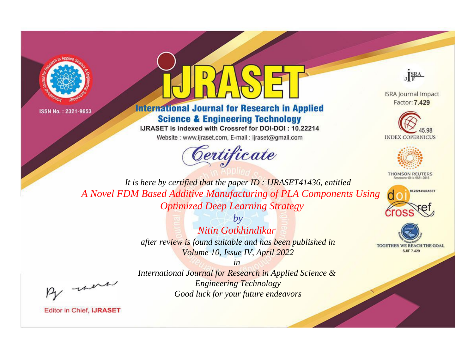



# **International Journal for Research in Applied Science & Engineering Technology**

IJRASET is indexed with Crossref for DOI-DOI: 10.22214

Website: www.ijraset.com, E-mail: ijraset@gmail.com



JERA

**ISRA Journal Impact** Factor: 7.429





**THOMSON REUTERS** 



TOGETHER WE REACH THE GOAL **SJIF 7.429** 

It is here by certified that the paper ID: IJRASET41436, entitled A Novel FDM Based Additive Manufacturing of PLA Components Using **Optimized Deep Learning Strategy** 

> $b\nu$ Nitin Gotkhindikar after review is found suitable and has been published in Volume 10, Issue IV, April 2022

were

International Journal for Research in Applied Science & **Engineering Technology** Good luck for your future endeavors

 $in$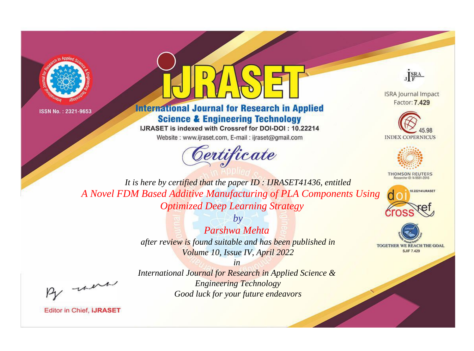



# **International Journal for Research in Applied Science & Engineering Technology**

IJRASET is indexed with Crossref for DOI-DOI: 10.22214

Website: www.ijraset.com, E-mail: ijraset@gmail.com



JERA

**ISRA Journal Impact** Factor: 7.429





**THOMSON REUTERS** 



TOGETHER WE REACH THE GOAL **SJIF 7.429** 

It is here by certified that the paper ID: IJRASET41436, entitled A Novel FDM Based Additive Manufacturing of PLA Components Using **Optimized Deep Learning Strategy** 

> $b\nu$ Parshwa Mehta after review is found suitable and has been published in Volume 10, Issue IV, April 2022

were

International Journal for Research in Applied Science & **Engineering Technology** Good luck for your future endeavors

 $in$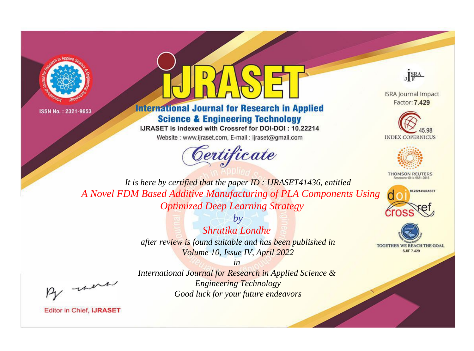



# **International Journal for Research in Applied Science & Engineering Technology**

IJRASET is indexed with Crossref for DOI-DOI: 10.22214

Website: www.ijraset.com, E-mail: ijraset@gmail.com



JERA

**ISRA Journal Impact** Factor: 7.429





**THOMSON REUTERS** 



TOGETHER WE REACH THE GOAL **SJIF 7.429** 

It is here by certified that the paper ID: IJRASET41436, entitled A Novel FDM Based Additive Manufacturing of PLA Components Using **Optimized Deep Learning Strategy** 

> $b\nu$ Shrutika Londhe after review is found suitable and has been published in Volume 10, Issue IV, April 2022

were

International Journal for Research in Applied Science & **Engineering Technology** Good luck for your future endeavors

 $in$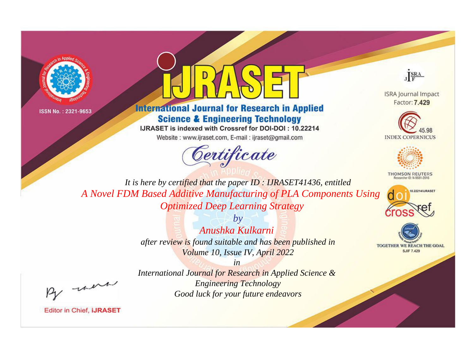



# **International Journal for Research in Applied Science & Engineering Technology**

IJRASET is indexed with Crossref for DOI-DOI: 10.22214

Website: www.ijraset.com, E-mail: ijraset@gmail.com



JERA

**ISRA Journal Impact** Factor: 7.429





**THOMSON REUTERS** 



TOGETHER WE REACH THE GOAL **SJIF 7.429** 

It is here by certified that the paper ID: IJRASET41436, entitled A Novel FDM Based Additive Manufacturing of PLA Components Using **Optimized Deep Learning Strategy** 

> $b\nu$ Anushka Kulkarni after review is found suitable and has been published in Volume 10, Issue IV, April 2022

were

International Journal for Research in Applied Science & **Engineering Technology** Good luck for your future endeavors

 $in$